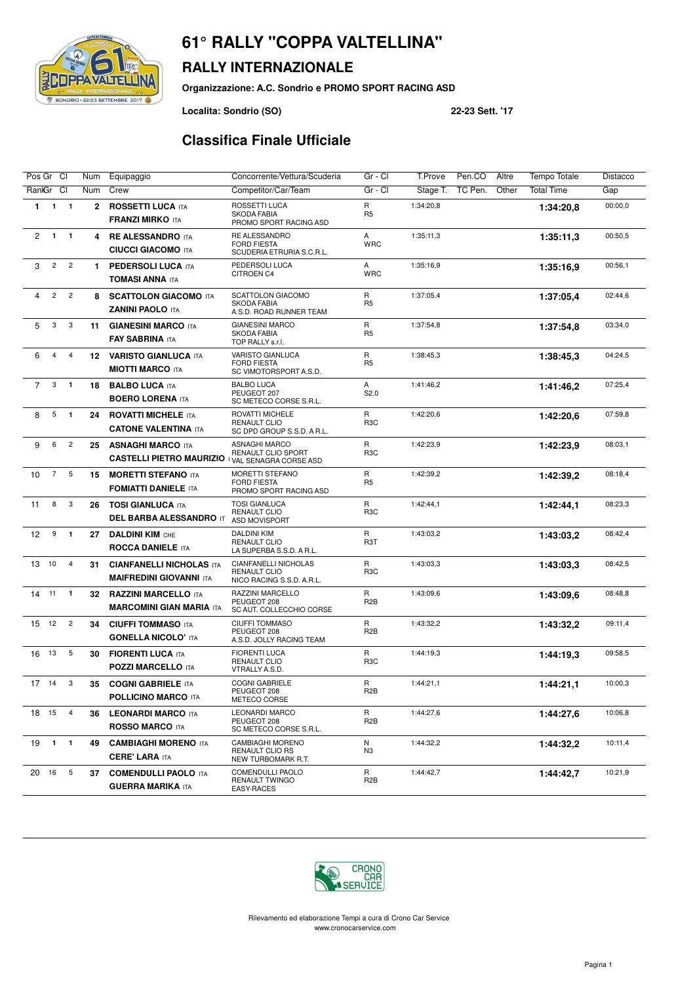# SONDRIO - 22/23 SETTEMBRE 2017

#### **RALLY INTERNAZIONALE**

**Organizzazione: A.C. Sondrio e PROMO SPORT RACING ASD**

**Localita: Sondrio (SO) 22-23 Sett. '17**

#### **Classifica Finale Ufficiale**

| Pos Gr Cl                                               | Num          | Equipaggio                                                                          | Concorrente/Vettura/Scuderia                                                    | Gr - Cl                        | T.Prove   | Pen.CO  | Altre | <b>Tempo Totale</b> | Distacco |
|---------------------------------------------------------|--------------|-------------------------------------------------------------------------------------|---------------------------------------------------------------------------------|--------------------------------|-----------|---------|-------|---------------------|----------|
| RankGr Cl                                               | Num          | Crew                                                                                | Competitor/Car/Team                                                             | Gr - Cl                        | Stage T.  | TC Pen. | Other | <b>Total Time</b>   | Gap      |
| $\mathbf{1}$<br>$\overline{\mathbf{1}}$<br>$\mathbf{1}$ | $\mathbf{2}$ | <b>ROSSETTI LUCA ITA</b><br><b>FRANZI MIRKO ITA</b>                                 | ROSSETTI LUCA<br><b>SKODA FABIA</b><br>PROMO SPORT RACING ASD                   | $\mathsf{R}$<br>R <sub>5</sub> | 1:34:20.8 |         |       | 1:34:20.8           | 00:00,0  |
| $\overline{c}$<br>$\mathbf{1}$<br>$\mathbf{1}$          | 4            | <b>RE ALESSANDRO ITA</b><br><b>CIUCCI GIACOMO ITA</b>                               | RE ALESSANDRO<br><b>FORD FIESTA</b><br>SCUDERIA ETRURIA S.C.R.L.                | A<br><b>WRC</b>                | 1:35:11,3 |         |       | 1:35:11,3           | 00:50,5  |
| $\overline{c}$<br>$\overline{c}$<br>3                   | 1.           | <b>PEDERSOLI LUCA ITA</b><br><b>TOMASI ANNA ITA</b>                                 | PEDERSOLI LUCA<br>CITROEN C4                                                    | Α<br><b>WRC</b>                | 1:35:16,9 |         |       | 1:35:16.9           | 00:56,1  |
| $\overline{2}$<br>$\sqrt{2}$<br>4                       | 8            | <b>SCATTOLON GIACOMO ITA</b><br><b>ZANINI PAOLO ITA</b>                             | <b>SCATTOLON GIACOMO</b><br><b>SKODA FABIA</b><br>A.S.D. ROAD RUNNER TEAM       | R<br>R <sub>5</sub>            | 1:37:05.4 |         |       | 1:37:05.4           | 02:44,6  |
| 5<br>3<br>3                                             | 11           | <b>GIANESINI MARCO ITA</b><br><b>FAY SABRINA ITA</b>                                | <b>GIANESINI MARCO</b><br><b>SKODA FABIA</b><br>TOP RALLY s.r.l.                | R<br>R <sub>5</sub>            | 1:37:54,8 |         |       | 1:37:54,8           | 03:34,0  |
| 4<br>$\overline{4}$<br>6                                | 12           | <b>VARISTO GIANLUCA ITA</b><br><b>MIOTTI MARCO ITA</b>                              | VARISTO GIANLUCA<br><b>FORD FIESTA</b><br>SC VIMOTORSPORT A.S.D.                | $\mathsf{R}$<br>R <sub>5</sub> | 1:38:45,3 |         |       | 1:38:45,3           | 04:24,5  |
| 3<br>$\overline{7}$<br>$\overline{\mathbf{1}}$          | 18           | <b>BALBO LUCA ITA</b><br><b>BOERO LORENA ITA</b>                                    | <b>BALBO LUCA</b><br>PEUGEOT 207<br>SC METECO CORSE S.R.L.                      | A<br>S2.0                      | 1:41:46,2 |         |       | 1:41:46,2           | 07:25,4  |
| 5<br>8<br>$\overline{1}$                                | 24           | <b>ROVATTI MICHELE ITA</b><br><b>CATONE VALENTINA ITA</b>                           | <b>ROVATTI MICHELE</b><br><b>RENAULT CLIO</b><br>SC DPD GROUP S.S.D. A R.L.     | R<br>R <sub>3</sub> C          | 1:42:20.6 |         |       | 1:42:20,6           | 07:59.8  |
| $\overline{c}$<br>6<br>9                                | 25           | <b>ASNAGHI MARCO ITA</b><br><b>CASTELLI PIETRO MAURIZIO I VAL SENAGRA CORSE ASD</b> | <b>ASNAGHI MARCO</b><br>RENAULT CLIO SPORT                                      | R<br>R <sub>3</sub> C          | 1:42:23,9 |         |       | 1:42:23,9           | 08:03.1  |
| $\overline{7}$<br>5<br>10                               | 15           | <b>MORETTI STEFANO ITA</b><br><b>FOMIATTI DANIELE ITA</b>                           | MORETTI STEFANO<br><b>FORD FIESTA</b><br>PROMO SPORT RACING ASD                 | R<br>R <sub>5</sub>            | 1:42:39,2 |         |       | 1:42:39,2           | 08:18,4  |
| 3<br>8<br>11                                            | 26           | <b>TOSI GIANLUCA ITA</b><br><b>DEL BARBA ALESSANDRO IT</b>                          | <b>TOSI GIANLUCA</b><br><b>RENAULT CLIO</b><br>ASD MOVISPORT                    | R<br>R <sub>3</sub> C          | 1:42:44,1 |         |       | 1:42:44.1           | 08:23,3  |
| $\boldsymbol{9}$<br>$\mathbf{1}$<br>12                  | 27           | <b>DALDINI KIM CHE</b><br><b>ROCCA DANIELE ITA</b>                                  | DALDINI KIM<br><b>RENAULT CLIO</b><br>LA SUPERBA S.S.D. A R.L.                  | R<br>R <sub>3</sub> T          | 1:43:03,2 |         |       | 1:43:03.2           | 08:42,4  |
| 10<br>$\overline{4}$<br>13                              | 31           | <b>CIANFANELLI NICHOLAS ITA</b><br><b>MAIFREDINI GIOVANNI ITA</b>                   | <b>CIANFANELLI NICHOLAS</b><br><b>RENAULT CLIO</b><br>NICO RACING S.S.D. A.R.L. | R<br>R <sub>3</sub> C          | 1:43:03,3 |         |       | 1:43:03.3           | 08:42,5  |
| 11<br>$\mathbf{1}$<br>14                                | 32           | <b>RAZZINI MARCELLO ITA</b><br><b>MARCOMINI GIAN MARIA ITA</b>                      | RAZZINI MARCELLO<br>PEUGEOT 208<br>SC AUT. COLLECCHIO CORSE                     | R<br>R <sub>2</sub> B          | 1:43:09,6 |         |       | 1:43:09.6           | 08:48,8  |
| 12<br>$\overline{c}$<br>15                              | 34           | <b>CIUFFI TOMMASO ITA</b><br><b>GONELLA NICOLO' ITA</b>                             | <b>CIUFFI TOMMASO</b><br>PEUGEOT 208<br>A.S.D. JOLLY RACING TEAM                | R<br>R <sub>2</sub> B          | 1:43:32,2 |         |       | 1:43:32,2           | 09:11,4  |
| 13<br>5<br>16                                           | 30           | <b>FIORENTI LUCA ITA</b><br><b>POZZI MARCELLO ITA</b>                               | <b>FIORENTI LUCA</b><br><b>RENAULT CLIO</b><br>VTRALLY A.S.D.                   | R<br>R <sub>3</sub> C          | 1:44:19,3 |         |       | 1:44:19.3           | 09:58,5  |
| $17 - 14$<br>3                                          | 35           | <b>COGNI GABRIELE ITA</b><br><b>POLLICINO MARCO ITA</b>                             | <b>COGNI GABRIELE</b><br>PEUGEOT 208<br>METECO CORSE                            | R<br>R <sub>2</sub> B          | 1:44:21,1 |         |       | 1:44:21.1           | 10:00,3  |
| 18 15<br>$\overline{4}$                                 | 36           | <b>LEONARDI MARCO ITA</b><br><b>ROSSO MARCO ITA</b>                                 | <b>LEONARDI MARCO</b><br>PEUGEOT 208<br>SC METECO CORSE S.R.L.                  | R<br>R <sub>2</sub> B          | 1:44:27,6 |         |       | 1:44:27,6           | 10:06,8  |
| 19<br>$1 \quad 1$                                       | 49           | <b>CAMBIAGHI MORENO ITA</b><br><b>CERE' LARA ITA</b>                                | <b>CAMBIAGHI MORENO</b><br><b>RENAULT CLIO RS</b><br>NEW TURBOMARK R.T.         | N<br>N3                        | 1:44:32,2 |         |       | 1:44:32,2           | 10:11,4  |
| $5\phantom{.0}$<br>20 16                                | 37           | <b>COMENDULLI PAOLO ITA</b><br><b>GUERRA MARIKA ITA</b>                             | <b>COMENDULLI PAOLO</b><br>RENAULT TWINGO<br><b>EASY-RACES</b>                  | R<br>R <sub>2</sub> B          | 1:44:42,7 |         |       | 1:44:42,7           | 10:21,9  |



Rilevamento ed elaborazione Tempi a cura di Crono Car Service www.cronocarservice.com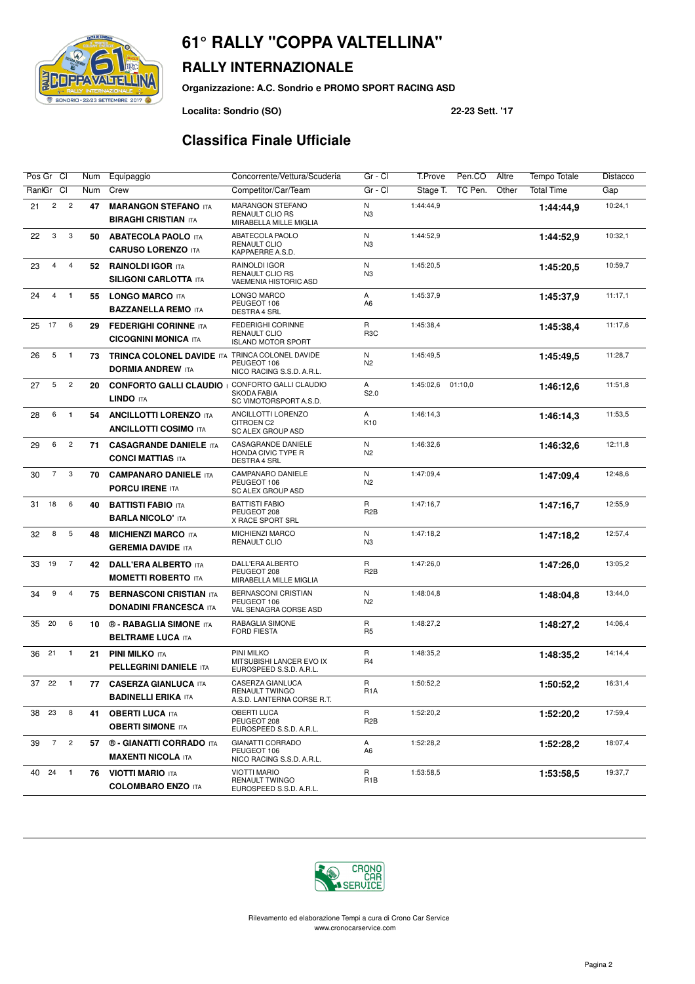## SONDRIO - 22/23 SETTEMBRE 2017

### **RALLY INTERNAZIONALE**

**Organizzazione: A.C. Sondrio e PROMO SPORT RACING ASD**

**Localita: Sondrio (SO) 22-23 Sett. '17**

#### **Classifica Finale Ufficiale**

| Pos Gr Cl                               | Num | Equipaggio                                                      | Concorrente/Vettura/Scuderia                                            | Gr - Cl                          | T.Prove<br>Pen.CO<br>Altre   | Tempo Totale      | Distacco |
|-----------------------------------------|-----|-----------------------------------------------------------------|-------------------------------------------------------------------------|----------------------------------|------------------------------|-------------------|----------|
| <b>CI</b><br>RanlGr                     | Num | Crew                                                            | Competitor/Car/Team                                                     | Gr - Cl                          | TC Pen.<br>Other<br>Stage T. | <b>Total Time</b> | Gap      |
| $\overline{c}$<br>$\overline{c}$<br>21  | 47  | <b>MARANGON STEFANO ITA</b><br><b>BIRAGHI CRISTIAN ITA</b>      | MARANGON STEFANO<br>RENAULT CLIO RS<br>MIRABELLA MILLE MIGLIA           | N<br>N <sub>3</sub>              | 1:44:44,9                    | 1:44:44,9         | 10:24,1  |
| 3<br>3<br>22                            | 50  | <b>ABATECOLA PAOLO ITA</b><br><b>CARUSO LORENZO ITA</b>         | ABATECOLA PAOLO<br><b>RENAULT CLIO</b><br>KAPPAERRE A.S.D.              | N<br>N <sub>3</sub>              | 1:44:52,9                    | 1:44:52.9         | 10:32,1  |
| $\overline{4}$<br>$\overline{4}$<br>23  | 52  | <b>RAINOLDI IGOR ITA</b><br><b>SILIGONI CARLOTTA ITA</b>        | RAINOLDI IGOR<br>RENAULT CLIO RS<br>VAEMENIA HISTORIC ASD               | N<br>N <sub>3</sub>              | 1:45:20,5                    | 1:45:20,5         | 10:59,7  |
| $\overline{4}$<br>$\mathbf{1}$<br>24    | 55  | <b>LONGO MARCO ITA</b><br><b>BAZZANELLA REMO ITA</b>            | LONGO MARCO<br>PEUGEOT 106<br><b>DESTRA 4 SRL</b>                       | A<br>A <sub>6</sub>              | 1:45:37,9                    | 1:45:37,9         | 11:17,1  |
| 17<br>6<br>25                           | 29  | <b>FEDERIGHI CORINNE ITA</b><br><b>CICOGNINI MONICA ITA</b>     | FEDERIGHI CORINNE<br><b>RENAULT CLIO</b><br><b>ISLAND MOTOR SPORT</b>   | $\mathsf{R}$<br>R <sub>3</sub> C | 1:45:38,4                    | 1:45:38.4         | 11:17,6  |
| 5<br>26<br>$\mathbf{1}$                 | 73  | <b>TRINCA COLONEL DAVIDE ITA</b><br><b>DORMIA ANDREW ITA</b>    | TRINCA COLONEL DAVIDE<br>PEUGEOT 106<br>NICO RACING S.S.D. A.R.L.       | N<br>N <sub>2</sub>              | 1:45:49,5                    | 1:45:49.5         | 11:28,7  |
| 5<br>$\overline{c}$<br>27               | 20  | <b>CONFORTO GALLI CLAUDIO</b><br>LINDO ITA                      | CONFORTO GALLI CLAUDIO<br><b>SKODA FABIA</b><br>SC VIMOTORSPORT A.S.D.  | A<br>S2.0                        | 1:45:02,6<br>01:10,0         | 1:46:12.6         | 11:51,8  |
| 6<br>$\mathbf{1}$<br>28                 | 54  | <b>ANCILLOTTI LORENZO ITA</b><br><b>ANCILLOTTI COSIMO ITA</b>   | ANCILLOTTI LORENZO<br>CITROEN C2<br><b>SC ALEX GROUP ASD</b>            | A<br>K10                         | 1:46:14,3                    | 1:46:14.3         | 11:53,5  |
| $\overline{c}$<br>6<br>29               | 71  | <b>CASAGRANDE DANIELE ITA</b><br><b>CONCI MATTIAS ITA</b>       | CASAGRANDE DANIELE<br>HONDA CIVIC TYPE R<br><b>DESTRA 4 SRL</b>         | N<br>N <sub>2</sub>              | 1:46:32,6                    | 1:46:32.6         | 12:11,8  |
| $\overline{7}$<br>3<br>30               | 70  | <b>CAMPANARO DANIELE ITA</b><br><b>PORCU IRENE ITA</b>          | CAMPANARO DANIELE<br>PEUGEOT 106<br><b>SC ALEX GROUP ASD</b>            | N<br>N <sub>2</sub>              | 1:47:09,4                    | 1:47:09.4         | 12:48,6  |
| 6<br>18<br>31                           | 40  | <b>BATTISTI FABIO ITA</b><br><b>BARLA NICOLO' ITA</b>           | <b>BATTISTI FABIO</b><br>PEUGEOT 208<br>X RACE SPORT SRL                | $\mathsf{R}$<br>R <sub>2</sub> B | 1:47:16,7                    | 1:47:16.7         | 12:55,9  |
| 5<br>8<br>32                            | 48  | <b>MICHIENZI MARCO ITA</b><br><b>GEREMIA DAVIDE ITA</b>         | MICHIENZI MARCO<br>RENAULT CLIO                                         | N<br>N <sub>3</sub>              | 1:47:18,2                    | 1:47:18.2         | 12:57,4  |
| 19<br>$\overline{7}$<br>33              | 42  | <b>DALL'ERA ALBERTO ITA</b><br><b>MOMETTI ROBERTO ITA</b>       | DALL'ERA ALBERTO<br>PEUGEOT 208<br>MIRABELLA MILLE MIGLIA               | R<br>R <sub>2</sub> B            | 1:47:26,0                    | 1:47:26,0         | 13:05.2  |
| 9<br>34<br>4                            | 75  | <b>BERNASCONI CRISTIAN ITA</b><br><b>DONADINI FRANCESCA ITA</b> | BERNASCONI CRISTIAN<br>PEUGEOT 106<br>VAL SENAGRA CORSE ASD             | N<br>N <sub>2</sub>              | 1:48:04,8                    | 1:48:04.8         | 13:44,0  |
| 20<br>6<br>35                           | 10  | <b>6 - RABAGLIA SIMONE ITA</b><br><b>BELTRAME LUCA ITA</b>      | RABAGLIA SIMONE<br><b>FORD FIESTA</b>                                   | R<br>R <sub>5</sub>              | 1:48:27.2                    | 1:48:27.2         | 14:06,4  |
| $\mathbf{1}$<br>36<br>21                | 21  | <b>PINI MILKO ITA</b><br><b>PELLEGRINI DANIELE ITA</b>          | PINI MILKO<br>MITSUBISHI LANCER EVO IX<br>EUROSPEED S.S.D. A.R.L.       | R<br>R <sub>4</sub>              | 1:48:35,2                    | 1:48:35,2         | 14:14,4  |
| 22<br>37<br>$\blacksquare$              | 77  | <b>CASERZA GIANLUCA ITA</b><br><b>BADINELLI ERIKA ITA</b>       | CASERZA GIANLUCA<br><b>RENAULT TWINGO</b><br>A.S.D. LANTERNA CORSE R.T. | R<br>R <sub>1</sub> A            | 1:50:52,2                    | 1:50:52,2         | 16:31,4  |
| 38 23<br>8                              | 41  | <b>OBERTI LUCA ITA</b><br><b>OBERTI SIMONE ITA</b>              | OBERTI LUCA<br>PEUGEOT 208<br>EUROSPEED S.S.D. A.R.L.                   | R<br>R <sub>2</sub> B            | 1:52:20,2                    | 1:52:20,2         | 17:59,4  |
| $7\overline{ }$<br>$\overline{c}$<br>39 | 57  | <b>® - GIANATTI CORRADO ITA</b><br><b>MAXENTI NICOLA ITA</b>    | <b>GIANATTI CORRADO</b><br>PEUGEOT 106<br>NICO RACING S.S.D. A.R.L.     | A<br>A6                          | 1:52:28,2                    | 1:52:28,2         | 18:07,4  |
| $\blacksquare$<br>24<br>40              | 76  | <b>VIOTTI MARIO ITA</b><br><b>COLOMBARO ENZO ITA</b>            | <b>VIOTTI MARIO</b><br><b>RENAULT TWINGO</b><br>EUROSPEED S.S.D. A.R.L. | R<br>R <sub>1</sub> B            | 1:53:58,5                    | 1:53:58,5         | 19:37,7  |

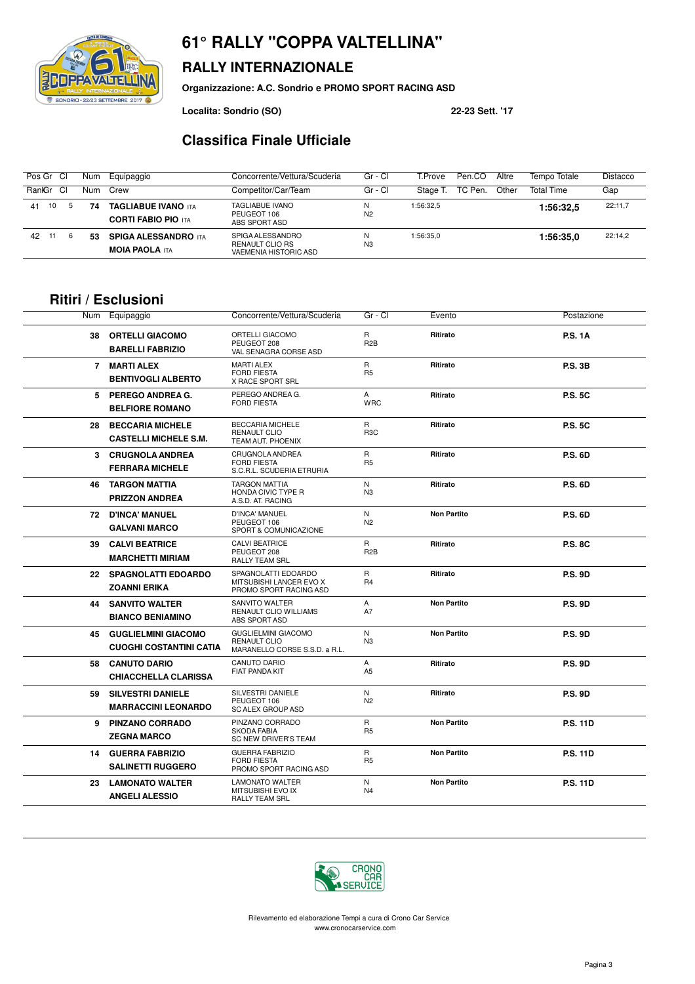### ベビルゴ SONDRIO - 22/23 SETTEMBRE 2017

#### **RALLY INTERNAZIONALE**

**Organizzazione: A.C. Sondrio e PROMO SPORT RACING ASD**

**Localita: Sondrio (SO) 22-23 Sett. '17**

#### **Classifica Finale Ufficiale**

| Pos Gr Cl    | Num | Equipaggio                                               | Concorrente/Vettura/Scuderia                                 | Gr - Cl             | T.Prove   | Pen.CO  | Altre | Tempo Totale      | <b>Distacco</b> |
|--------------|-----|----------------------------------------------------------|--------------------------------------------------------------|---------------------|-----------|---------|-------|-------------------|-----------------|
| RankGr<br>СI | Num | Crew                                                     | Competitor/Car/Team                                          | Gr - Cl             | Stage T   | TC Pen. | Other | <b>Total Time</b> | Gap             |
| 10<br>41     | 74  | <b>TAGLIABUE IVANO ITA</b><br><b>CORTI FABIO PIO ITA</b> | <b>TAGLIABUE IVANO</b><br>PEUGEOT 106<br>ABS SPORT ASD       | N<br>N <sub>2</sub> | 1:56:32.5 |         |       | 1:56:32,5         | 22:11,7         |
| 42<br>11     | 53  | <b>SPIGA ALESSANDRO ITA</b><br><b>MOIA PAOLA ITA</b>     | SPIGA ALESSANDRO<br>RENAULT CLIO RS<br>VAEMENIA HISTORIC ASD | N<br>N <sub>3</sub> | 1:56:35.0 |         |       | 1:56:35.0         | 22:14,2         |

#### **Ritiri / Esclusioni**

| Num | Equipaggio                                                      | Concorrente/Vettura/Scuderia                                                       | Gr - Cl                          | Evento             | Postazione      |
|-----|-----------------------------------------------------------------|------------------------------------------------------------------------------------|----------------------------------|--------------------|-----------------|
|     | <b>38 ORTELLI GIACOMO</b><br><b>BARELLI FABRIZIO</b>            | <b>ORTELLI GIACOMO</b><br>PEUGEOT 208<br>VAL SENAGRA CORSE ASD                     | R<br>R <sub>2</sub> B            | Ritirato           | <b>P.S. 1A</b>  |
|     | 7 MARTI ALEX<br><b>BENTIVOGLI ALBERTO</b>                       | <b>MARTI ALEX</b><br><b>FORD FIESTA</b><br>X RACE SPORT SRL                        | R<br>R <sub>5</sub>              | Ritirato           | <b>P.S. 3B</b>  |
|     | 5 PEREGO ANDREA G.<br><b>BELFIORE ROMANO</b>                    | PEREGO ANDREA G.<br><b>FORD FIESTA</b>                                             | A<br><b>WRC</b>                  | Ritirato           | <b>P.S. 5C</b>  |
| 28  | <b>BECCARIA MICHELE</b><br><b>CASTELLI MICHELE S.M.</b>         | BECCARIA MICHELE<br><b>RENAULT CLIO</b><br>TEAM AUT. PHOENIX                       | R<br>R <sub>3</sub> C            | Ritirato           | <b>P.S. 5C</b>  |
|     | 3 CRUGNOLA ANDREA<br><b>FERRARA MICHELE</b>                     | CRUGNOLA ANDREA<br><b>FORD FIESTA</b><br>S.C.R.L. SCUDERIA ETRURIA                 | R<br>R <sub>5</sub>              | Ritirato           | <b>P.S. 6D</b>  |
|     | <b>46 TARGON MATTIA</b><br><b>PRIZZON ANDREA</b>                | <b>TARGON MATTIA</b><br>HONDA CIVIC TYPE R<br>A.S.D. AT. RACING                    | N<br>N <sub>3</sub>              | Ritirato           | <b>P.S. 6D</b>  |
|     | <b>72 D'INCA' MANUEL</b><br><b>GALVANI MARCO</b>                | D'INCA' MANUEL<br>PEUGEOT 106<br>SPORT & COMUNICAZIONE                             | N<br>N <sub>2</sub>              | <b>Non Partito</b> | <b>P.S. 6D</b>  |
|     | <b>39 CALVI BEATRICE</b><br><b>MARCHETTI MIRIAM</b>             | <b>CALVI BEATRICE</b><br>PEUGEOT 208<br><b>RALLY TEAM SRL</b>                      | $\mathsf{R}$<br>R <sub>2</sub> B | Ritirato           | <b>P.S. 8C</b>  |
|     | 22 SPAGNOLATTI EDOARDO<br><b>ZOANNI ERIKA</b>                   | SPAGNOLATTI EDOARDO<br>MITSUBISHI LANCER EVO X<br>PROMO SPORT RACING ASD           | R.<br><b>R4</b>                  | Ritirato           | <b>P.S. 9D</b>  |
|     | <b>44 SANVITO WALTER</b><br><b>BIANCO BENIAMINO</b>             | SANVITO WALTER<br>RENAULT CLIO WILLIAMS<br>ABS SPORT ASD                           | $\overline{A}$<br>A7             | <b>Non Partito</b> | <b>P.S. 9D</b>  |
|     | <b>45 GUGLIELMINI GIACOMO</b><br><b>CUOGHI COSTANTINI CATIA</b> | <b>GUGLIELMINI GIACOMO</b><br><b>RENAULT CLIO</b><br>MARANELLO CORSE S.S.D. a R.L. | ${\sf N}$<br>N <sub>3</sub>      | <b>Non Partito</b> | <b>P.S. 9D</b>  |
| 58  | <b>CANUTO DARIO</b><br><b>CHIACCHELLA CLARISSA</b>              | <b>CANUTO DARIO</b><br>FIAT PANDA KIT                                              | A<br>A <sub>5</sub>              | Ritirato           | <b>P.S. 9D</b>  |
| 59  | <b>SILVESTRI DANIELE</b><br><b>MARRACCINI LEONARDO</b>          | SILVESTRI DANIELE<br>PEUGEOT 106<br>SC ALEX GROUP ASD                              | N<br>N <sub>2</sub>              | Ritirato           | <b>P.S. 9D</b>  |
|     | 9 PINZANO CORRADO<br><b>ZEGNA MARCO</b>                         | PINZANO CORRADO<br><b>SKODA FABIA</b><br>SC NEW DRIVER'S TEAM                      | $\mathsf{R}$<br>R <sub>5</sub>   | <b>Non Partito</b> | <b>P.S. 11D</b> |
|     | <b>14 GUERRA FABRIZIO</b><br><b>SALINETTI RUGGERO</b>           | <b>GUERRA FABRIZIO</b><br><b>FORD FIESTA</b><br>PROMO SPORT RACING ASD             | R<br>R <sub>5</sub>              | <b>Non Partito</b> | <b>P.S. 11D</b> |
| 23  | <b>LAMONATO WALTER</b><br><b>ANGELI ALESSIO</b>                 | <b>LAMONATO WALTER</b><br>MITSUBISHI EVO IX<br><b>RALLY TEAM SRL</b>               | N<br>N <sub>4</sub>              | <b>Non Partito</b> | <b>P.S. 11D</b> |



Rilevamento ed elaborazione Tempi a cura di Crono Car Service www.cronocarservice.com